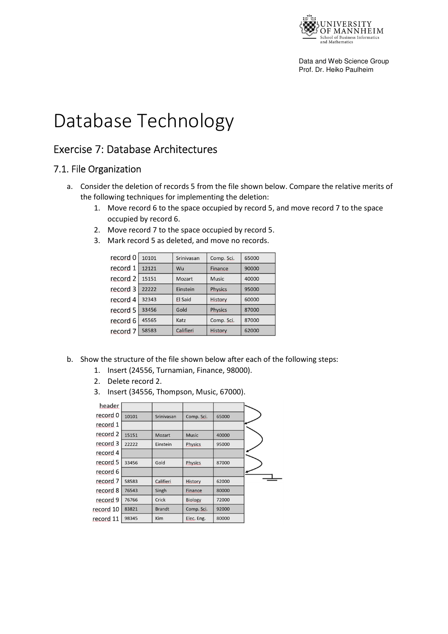

Data and Web Science Group Prof. Dr. Heiko Paulheim

# Database Technology

## Exercise 7: Database Architectures

#### 7.1. File Organization

- a. Consider the deletion of records 5 from the file shown below. Compare the relative merits of the following techniques for implementing the deletion:
	- 1. Move record 6 to the space occupied by record 5, and move record 7 to the space occupied by record 6.
	- 2. Move record 7 to the space occupied by record 5.
	- 3. Mark record 5 as deleted, and move no records.

| record 0 | 10101 | Srinivasan | Comp. Sci.     | 65000 |
|----------|-------|------------|----------------|-------|
| record 1 | 12121 | Wu         | Finance        | 90000 |
| record 2 | 15151 | Mozart     | Music          | 40000 |
| record 3 | 22222 | Einstein   | <b>Physics</b> | 95000 |
| record 4 | 32343 | El Said    | History        | 60000 |
| record 5 | 33456 | Gold       | <b>Physics</b> | 87000 |
| record 6 | 45565 | Katz       | Comp. Sci.     | 87000 |
| record 7 | 58583 | Califieri  | <b>History</b> | 62000 |

- b. Show the structure of the file shown below after each of the following steps:
	- 1. Insert (24556, Turnamian, Finance, 98000).
	- 2. Delete record 2.
	- 3. Insert (34556, Thompson, Music, 67000).

| header                |       |               |                |       |
|-----------------------|-------|---------------|----------------|-------|
| record 0              | 10101 | Srinivasan    | Comp. Sci.     | 65000 |
| record 1              |       |               |                |       |
| record 2              | 15151 | Mozart        | <b>Music</b>   | 40000 |
| record 3              | 22222 | Einstein      | <b>Physics</b> | 95000 |
| record 4              |       |               |                |       |
| record 5              | 33456 | Gold          | <b>Physics</b> | 87000 |
| record 6              |       |               |                |       |
| record 7              | 58583 | Califieri     | <b>History</b> | 62000 |
| record 8              | 76543 | Singh         | Finance        | 80000 |
| record 9              | 76766 | Crick         | <b>Biology</b> | 72000 |
| ecord 10              | 83821 | <b>Brandt</b> | Comp. Sci.     | 92000 |
| ecord 11 <sup>-</sup> | 98345 | Kim           | Elec. Eng.     | 80000 |